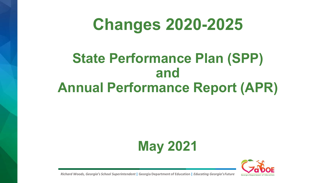### **Changes 2020-2025**

### **State Performance Plan (SPP) and Annual Performance Report (APR)**





*Richard Woods, Georgia's School Superintendent* **| Georgia Department of Education |** *Educating Georgia'sFuture*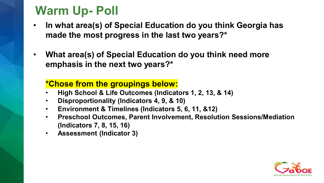### **Warm Up- Poll**

- **In what area(s) of Special Education do you think Georgia has made the most progress in the last two years?\***
- **What area(s) of Special Education do you think need more emphasis in the next two years?\***

#### **\*Chose from the groupings below:**

- **High School & Life Outcomes (Indicators 1, 2, 13, & 14)**
- **Disproportionality (Indicators 4, 9, & 10)**
- **Environment & Timelines (Indicators 5, 6, 11, &12)**
- **Preschool Outcomes, Parent Involvement, Resolution Sessions/Mediation (Indicators 7, 8, 15, 16)**
- **Assessment (Indicator 3)**

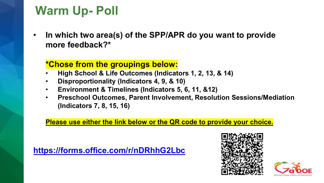### **Warm Up- Poll**

• **In which two area(s) of the SPP/APR do you want to provide more feedback?\***

#### **\*Chose from the groupings below:**

- **High School & Life Outcomes (Indicators 1, 2, 13, & 14)**
- **Disproportionality (Indicators 4, 9, & 10)**
- **Environment & Timelines (Indicators 5, 6, 11, &12)**
- **Preschool Outcomes, Parent Involvement, Resolution Sessions/Mediation (Indicators 7, 8, 15, 16)**

#### **Please use either the link below or the QR code to provide your choice.**

**<https://forms.office.com/r/nDRhhG2Lbc>**



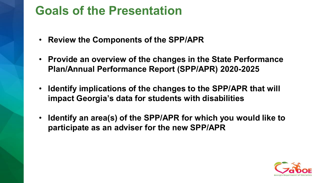### **Goals of the Presentation**

- **Review the Components of the SPP/APR**
- **Provide an overview of the changes in the State Performance Plan/Annual Performance Report (SPP/APR) 2020-2025**
- **Identify implications of the changes to the SPP/APR that will impact Georgia's data for students with disabilities**
- **Identify an area(s) of the SPP/APR for which you would like to participate as an adviser for the new SPP/APR**

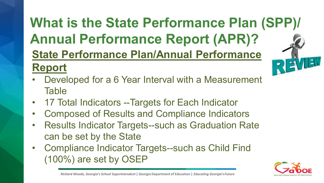#### **What is the State Performance Plan (SPP)/ Annual Performance Report (APR)? State Performance Plan/Annual Performance**   $\sqrt{2}$ 13 E **Report**

- Developed for a 6 Year Interval with a Measurement **Table**
- 17 Total Indicators --Targets for Each Indicator
- Composed of Results and Compliance Indicators
- Results Indicator Targets--such as Graduation Rate can be set by the State
- Compliance Indicator Targets--such as Child Find (100%) are set by OSEP



*Richard Woods, Georgia's School Superintendent* **| Georgia Department of Education |** *Educating Georgia'sFuture* 5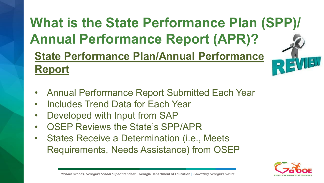### **What is the State Performance Plan (SPP)/ Annual Performance Report (APR)? State Performance Plan/Annual Performance Report**

- Annual Performance Report Submitted Each Year
- Includes Trend Data for Each Year
- Developed with Input from SAP
- OSEP Reviews the State's SPP/APR
- States Receive a Determination (i.e., Meets Requirements, Needs Assistance) from OSEP

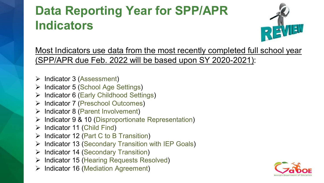### **Data Reporting Year for SPP/APR Indicators**



Most Indicators use data from the most recently completed full school year (SPP/APR due Feb. 2022 will be based upon SY 2020-2021):

- $\triangleright$  Indicator 3 (Assessment)
- $\triangleright$  Indicator 5 (School Age Settings)
- Indicator 6 (Early Childhood Settings)
- Indicator 7 (Preschool Outcomes)
- $\triangleright$  Indicator 8 (Parent Involvement)
- $\triangleright$  Indicator 9 & 10 (Disproportionate Representation)
- $\triangleright$  Indicator 11 (Child Find)
- $\triangleright$  Indicator 12 (Part C to B Transition)
- $\triangleright$  Indicator 13 (Secondary Transition with IEP Goals)
- $\triangleright$  Indicator 14 (Secondary Transition)
- **▶ Indicator 15 (Hearing Requests Resolved)**
- $\triangleright$  Indicator 16 (Mediation Agreement)

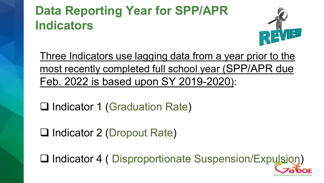### **Data Reporting Year for SPP/APR Indicators**



Three Indicators use lagging data from a year prior to the most recently completed full school year (SPP/APR due Feb. 2022 is based upon SY 2019-2020):

□ Indicator 1 (Graduation Rate)

□ Indicator 2 (Dropout Rate)

Indicator 4 ( Disproportionate Suspension/Expulsion)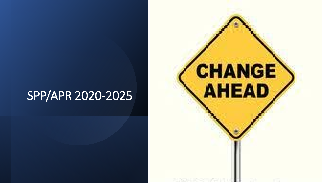### SPP/APR 2020-2025

*Richard Woods, Georgia's School Superintendent* **| Georgia Department of Education |** *Educating Georgia's Future* 

## CHANGE AHEAD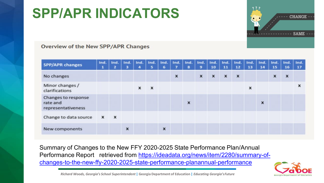

#### **Overview of the New SPP/APR Changes**

| <b>SPP/APR changes</b>                                | Ind.<br>1 | Ind.<br>$\mathbf{z}$ | 3 | Ind.   Ind.   Ind.<br>4 | 5                         | Ind.<br>6 | Ind. Ind.<br>7 | 8 | Ind.<br>9      | Ind.<br>10 | Ind.<br>11       | Ind.<br>12                | Ind.<br>13 | Ind.<br>14 | $ $ Ind.<br>15 | Ind.<br>16       | Ind.<br>17 |
|-------------------------------------------------------|-----------|----------------------|---|-------------------------|---------------------------|-----------|----------------|---|----------------|------------|------------------|---------------------------|------------|------------|----------------|------------------|------------|
| No changes                                            |           |                      |   |                         |                           |           | ×              |   | $\pmb{\times}$ | X          | $\boldsymbol{x}$ | $\boldsymbol{\mathsf{x}}$ |            |            | X              | $\boldsymbol{x}$ |            |
| Minor changes /<br>clarifications                     |           |                      |   | x                       | $\boldsymbol{\mathsf{x}}$ |           |                |   |                |            |                  |                           | x          |            |                |                  | x          |
| Changes to response<br>rate and<br>representativeness |           |                      |   |                         |                           |           |                | × |                |            |                  |                           |            | ×          |                |                  |            |
| Change to data source                                 | x         | $\mathbf{x}$         |   |                         |                           |           |                |   |                |            |                  |                           |            |            |                |                  |            |
| New components                                        |           |                      | × |                         |                           | X         |                |   |                |            |                  |                           |            |            |                |                  |            |

Summary of Changes to the New FFY 2020-2025 State Performance Plan/Annual [Performance Report retrieved from https://ideadata.org/news/item/2280/summary-of](https://ideadata.org/news/item/2280/summary-of-changes-to-the-new-ffy-2020-2025-state-performance-planannual-performance)changes-to-the-new-ffy-2020-2025-state-performance-planannual-performance



*Richard Woods, Georgia's School Superintendent* **| Georgia Department of Education |** *Educating Georgia'sFuture*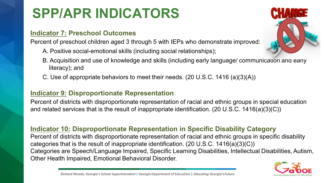#### **Indicator 7: Preschool Outcomes**

Percent of preschool children aged 3 through 5 with IEPs who demonstrate improved:

- A. Positive social-emotional skills (including social relationships);
- B. Acquisition and use of knowledge and skills (including early language/ communication and early literacy); and
- C. Use of appropriate behaviors to meet their needs. (20 U.S.C. 1416 (a)(3)(A))

#### **Indicator 9: Disproportionate Representation**

Percent of districts with disproportionate representation of racial and ethnic groups in special education and related services that is the result of inappropriate identification. (20 U.S.C. 1416(a)(3)(C))

#### **Indicator 10: Disproportionate Representation in Specific Disability Category**

Percent of districts with disproportionate representation of racial and ethnic groups in specific disability categories that is the result of inappropriate identification. (20 U.S.C. 1416(a)(3)(C)) Categories are Speech/Language Impaired, Specific Learning Disabilities, Intellectual Disabilities, Autism, Other Health Impaired, Emotional Behavioral Disorder.



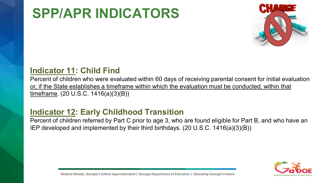

#### **Indicator 11: Child Find**

Percent of children who were evaluated within 60 days of receiving parental consent for initial evaluation or, if the State establishes a timeframe within which the evaluation must be conducted, within that timeframe. (20 U.S.C. 1416(a)(3)(B))

#### **Indicator 12: Early Childhood Transition**

Percent of children referred by Part C prior to age 3, who are found eligible for Part B, and who have an IEP developed and implemented by their third birthdays. (20 U.S.C. 1416(a)(3)(B))

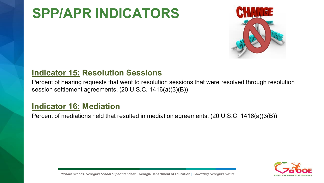

#### **Indicator 15: Resolution Sessions**

Percent of hearing requests that went to resolution sessions that were resolved through resolution session settlement agreements. (20 U.S.C. 1416(a)(3)(B))

#### **Indicator 16: Mediation**

Percent of mediations held that resulted in mediation agreements. (20 U.S.C. 1416(a)(3(B))

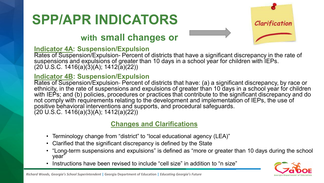### **with small changes or**



#### **Indicator 4A: Suspension/Expulsion**

Rates of Suspension/Expulsion- Percent of districts that have a significant discrepancy in the rate of suspensions and expulsions of greater than 10 days in a school year for children with IEPs.  $(20 U.S.C. 1416(a)(3)(A); 1412(a)(22))$ 

#### **Indicator 4B: Suspension/Expulsion**

Rates of Suspension/Expulsion- Percent of districts that have: (a) a significant discrepancy, by race or ethnicity, in the rate of suspensions and expulsions of greater than 10 days in a school year for children with IEPs; and (b) policies, procedures or practices that contribute to the significant discrepancy and do not comply with requirements relating to the development and implementation of IEPs, the use of positive behavioral interventions and supports, and procedural safeguards.  $(20 \text{ U.S.C. } 1416(a)(3)(A); 1412(a)(22))$ 

#### **Changes and Clarifications**

- Terminology change from "district" to "local educational agency (LEA)"
- Clarified that the significant discrepancy is defined by the State
- "Long-term suspensions and expulsions" is defined as "more or greater than 10 days during the school year"
- Instructions have been revised to include "cell size" in addition to "n size"

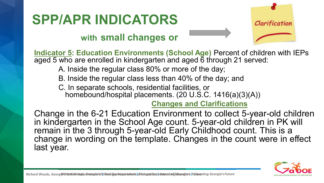# Clarification

#### **with small changes or**

**Indicator 5: Education Environments (School Age)** Percent of children with IEPs aged 5 who are enrolled in kindergarten and aged 6 through 21 served:

- A. Inside the regular class 80% or more of the day;
- B. Inside the regular class less than 40% of the day; and

C. In separate schools, residential facilities, or homebound/hospital placements. (20 U.S.C. 1416(a)(3)(A))

#### **Changes and Clarifications**

Change in the 6-21 Education Environment to collect 5-year-old children in kindergarten in the School Age count. 5-year-old children in PK will remain in the 3 through 5-year-old Early Childhood count. This is a change in wording on the template. Changes in the count were in effect last year.

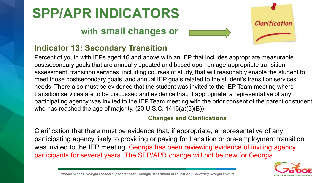### **with small changes or**



#### **Indicator 13: Secondary Transition**

Percent of youth with IEPs aged 16 and above with an IEP that includes appropriate measurable postsecondary goals that are annually updated and based upon an age-appropriate transition assessment, transition services, including courses of study, that will reasonably enable the student to meet those postsecondary goals, and annual IEP goals related to the student's transition services needs. There also must be evidence that the student was invited to the IEP Team meeting where transition services are to be discussed and evidence that, if appropriate, a representative of any participating agency was invited to the IEP Team meeting with the prior consent of the parent or student who has reached the age of majority. (20 U.S.C. 1416(a)(3)(B))

#### **Changes and Clarifications**

Clarification that there must be evidence that, if appropriate, a representative of any participating agency likely to providing or paying for transition or pre-employment transition was invited to the IEP meeting. Georgia has been reviewing evidence of inviting agency participants for several years. The SPP/APR change will not be new for Georgia.

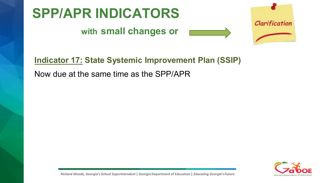

#### **with small changes or**





Now due at the same time as the SPP/APR



Clarification

*Richard Woods, Georgia's School Superintendent* **| Georgia Department of Education |** *Educating Georgia'sFuture*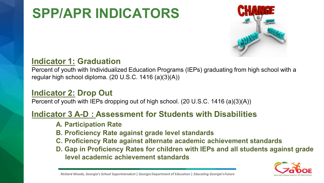

#### **Indicator 1: Graduation**

Percent of youth with Individualized Education Programs (IEPs) graduating from high school with a regular high school diploma. (20 U.S.C. 1416 (a)(3)(A))

#### **Indicator 2: Drop Out**

Percent of youth with IEPs dropping out of high school. (20 U.S.C. 1416 (a)(3)(A))

#### **Indicator 3 A-D : Assessment for Students with Disabilities**

- **A. Participation Rate**
- **B. Proficiency Rate against grade level standards**
- **C. Proficiency Rate against alternate academic achievement standards**
- **D. Gap in Proficiency Rates for children with IEPs and all students against grade level academic achievement standards**

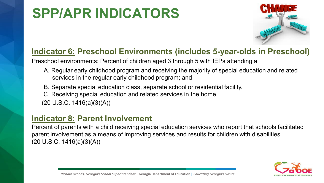

#### **Indicator 6: Preschool Environments (includes 5-year-olds in Preschool)**

Preschool environments: Percent of children aged 3 through 5 with IEPs attending a:

- A. Regular early childhood program and receiving the majority of special education and related services in the regular early childhood program; and
- B. Separate special education class, separate school or residential facility.
- C. Receiving special education and related services in the home.
- $(20 \text{ U.S.C. } 1416(a)(3)(A))$

#### **Indicator 8: Parent Involvement**

Percent of parents with a child receiving special education services who report that schools facilitated parent involvement as a means of improving services and results for children with disabilities.  $(20 U.S.C. 1416(a)(3)(A))$ 

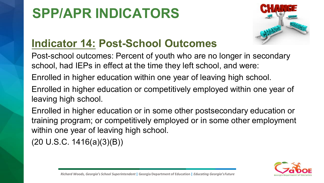

### **Indicator 14: Post-School Outcomes**

Post-school outcomes: Percent of youth who are no longer in secondary school, had IEPs in effect at the time they left school, and were:

Enrolled in higher education within one year of leaving high school.

Enrolled in higher education or competitively employed within one year of leaving high school.

Enrolled in higher education or in some other postsecondary education or training program; or competitively employed or in some other employment within one year of leaving high school.

(20 U.S.C. 1416(a)(3)(B))

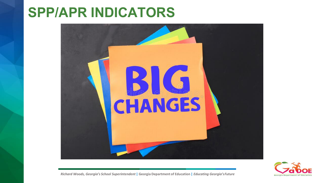



*Richard Woods, Georgia's School Superintendent* **| Georgia Department of Education |** *Educating Georgia'sFuture*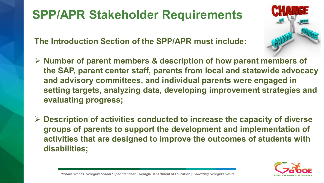### **SPP/APR Stakeholder Requirements**

**The Introduction Section of the SPP/APR must include:**

- **▶ Number of parent members & description of how parent members of the SAP, parent center staff, parents from local and statewide advocacy and advisory committees, and individual parents were engaged in setting targets, analyzing data, developing improvement strategies and evaluating progress;**
- **Description of activities conducted to increase the capacity of diverse groups of parents to support the development and implementation of activities that are designed to improve the outcomes of students with disabilities;**

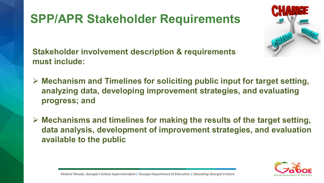### **SPP/APR Stakeholder Requirements**



**Stakeholder involvement description & requirements must include:**

- **Mechanism and Timelines for soliciting public input for target setting, analyzing data, developing improvement strategies, and evaluating progress; and**
- **Mechanisms and timelines for making the results of the target setting, data analysis, development of improvement strategies, and evaluation available to the public**

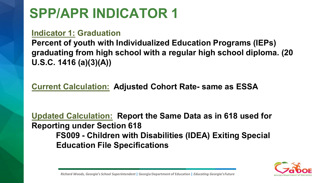#### **Indicator 1: Graduation**

**Percent of youth with Individualized Education Programs (IEPs) graduating from high school with a regular high school diploma. (20 U.S.C. 1416 (a)(3)(A))**

#### **Current Calculation: Adjusted Cohort Rate- same as ESSA**

**Updated Calculation: Report the Same Data as in 618 used for Reporting under Section 618 FS009 - Children with Disabilities (IDEA) Exiting Special Education File Specifications**

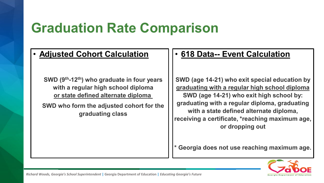### **Graduation Rate Comparison**

**SWD (9th-12th) who graduate in four years with a regular high school diploma or state defined alternate diploma**

**SWD who form the adjusted cohort for the graduating class**

#### • **Adjusted Cohort Calculation** • **618 Data-- Event Calculation**

**SWD (age 14-21) who exit special education by graduating with a regular high school diploma SWD (age 14-21) who exit high school by: graduating with a regular diploma, graduating with a state defined alternate diploma, receiving a certificate, \*reaching maximum age, or dropping out**

**\* Georgia does not use reaching maximum age.**

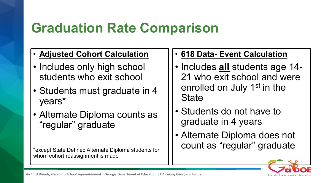### **Graduation Rate Comparison**

- **Adjusted Cohort Calculation**
- Includes only high school students who exit school
- Students must graduate in 4 years\*
- Alternate Diploma counts as "regular" graduate

\*except State Defined Alternate Diploma students for whom cohort reassignment is made

- **618 Data- Event Calculation**
- Includes **all** students age 14- 21 who exit school and were enrolled on July 1<sup>st</sup> in the **State**
- Students do not have to graduate in 4 years
- Alternate Diploma does not count as "regular" graduate



*Richard Woods, Georgia's School Superintendent* **| Georgia Department of Education |** *Educating Georgia's Future*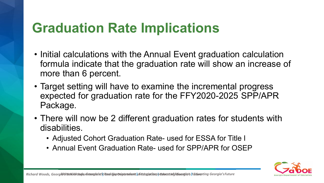### **Graduation Rate Implications**

- Initial calculations with the Annual Event graduation calculation formula indicate that the graduation rate will show an increase of more than 6 percent.
- Target setting will have to examine the incremental progress expected for graduation rate for the FFY2020-2025 SPP/APR Package.
- There will now be 2 different graduation rates for students with disabilities.
	- Adjusted Cohort Graduation Rate- used for ESSA for Title I
	- Annual Event Graduation Rate- used for SPP/APR for OSEP

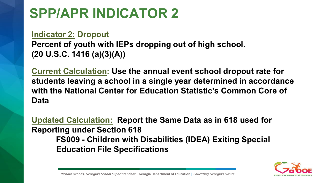#### **Indicator 2: Dropout**

**Percent of youth with IEPs dropping out of high school. (20 U.S.C. 1416 (a)(3)(A))** 

**Current Calculation: Use the annual event school dropout rate for students leaving a school in a single year determined in accordance with the National Center for Education Statistic's Common Core of Data**

**Updated Calculation: Report the Same Data as in 618 used for Reporting under Section 618 FS009 - Children with Disabilities (IDEA) Exiting Special Education File Specifications**



*Richard Woods, Georgia's School Superintendent* **| Georgia Department of Education |** *Educating Georgia'sFuture*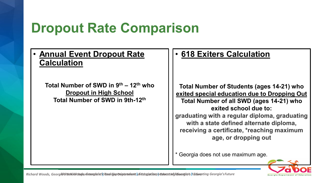### **Dropout Rate Comparison**

#### • **Annual Event Dropout Rate Calculation**

**Total Number of SWD in 9th – 12th who Dropout in High School Total Number of SWD in 9th-12th**

#### • **618 Exiters Calculation**

**Total Number of Students (ages 14-21) who exited special education due to Dropping Out Total Number of all SWD (ages 14-21) who exited school due to: graduating with a regular diploma, graduating with a state defined alternate diploma, receiving a certificate, \*reaching maximum age, or dropping out**

\* Georgia does not use maximum age.

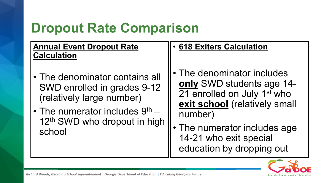### **Dropout Rate Comparison**

#### **Annual Event Dropout Rate Calculation**

- The denominator contains all SWD enrolled in grades 9-12 (relatively large number)
- The numerator includes  $9<sup>th</sup>$  12<sup>th</sup> SWD who dropout in high school

#### • **618 Exiters Calculation**

- The denominator includes **only** SWD students age 14- 21 enrolled on July 1<sup>st</sup> who **exit school** (relatively small number)
- The numerator includes age 14-21 who exit special education by dropping out

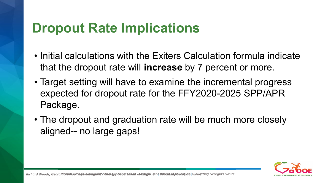### **Dropout Rate Implications**

- Initial calculations with the Exiters Calculation formula indicate that the dropout rate will **increase** by 7 percent or more.
- Target setting will have to examine the incremental progress expected for dropout rate for the FFY2020-2025 SPP/APR Package.
- The dropout and graduation rate will be much more closely aligned-- no large gaps!

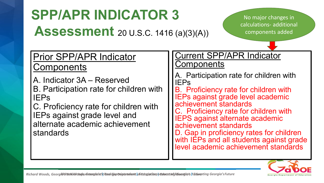### **SPP/APR INDICATOR 3 Assessment** 20 U.S.C. 1416 (a)(3)(A))

No major changes in calculations- additional components added

### Prior SPP/APR Indicator **Components**

A. Indicator 3A – Reserved B. Participation rate for children with IEPs

C. Proficiency rate for children with IEPs against grade level and alternate academic achievement standards

#### Current SPP/APR Indicator Components

- A. Participation rate for children with IEPs
- B. Proficiency rate for children with IEPs against grade level academic achievement standards
- C. Proficiency rate for children with IEPS against alternate academic achievement standards
- D. Gap in proficiency rates for children with IEPs and all students against grade level academic achievement standards

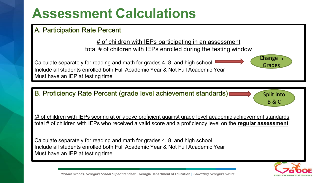### **Assessment Calculations**

#### A. Participation Rate Percent

# of children with IEPs participating in an assessment total # of children with IEPs enrolled during the testing window



B. Proficiency Rate Percent (grade level achievement standards)

(# of children with IEPs scoring at or above proficient against grade level academic achievement standards total # of children with IEPs who received a valid score and a proficiency level on the **regular assessment**

Calculate separately for reading and math for grades 4, 8, and high school Include all students enrolled both Full Academic Year & Not Full Academic Year Must have an IEP at testing time



Grades

Split into

B & C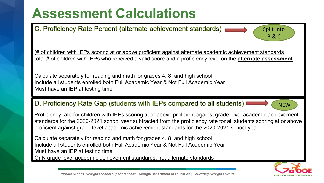### **Assessment Calculations**

C. Proficiency Rate Percent (alternate achievement standards)

(# of children with IEPs scoring at or above proficient against alternate academic achievement standards total # of children with IEPs who received a valid score and a proficiency level on the **alternate assessment**

Calculate separately for reading and math for grades 4, 8, and high school Include all students enrolled both Full Academic Year & Not Full Academic Year Must have an IEP at testing time

#### D. Proficiency Rate Gap (students with IEPs compared to all students)  $\square$

**NEW** 

Split into

B & C

Proficiency rate for children with IEPs scoring at or above proficient against grade level academic achievement standards for the 2020-2021 school year subtracted from the proficiency rate for all students scoring at or above proficient against grade level academic achievement standards for the 2020-2021 school year

Calculate separately for reading and math for grades 4, 8, and high school Include all students enrolled both Full Academic Year & Not Full Academic Year Must have an IEP at testing time Only grade level academic achievement standards, not alternate standards

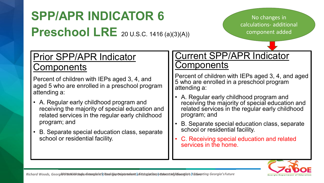### **SPP/APR INDICATOR 6 Preschool LRE** 20 U.S.C. 1416 (a)(3)(A))

No changes in calculations- additional component added

### Prior SPP/APR Indicator **Components**

Percent of children with IEPs aged 3, 4, and aged 5 who are enrolled in a preschool program attending a:

- A. Regular early childhood program and receiving the majority of special education and related services in the regular early childhood program; and
- B. Separate special education class, separate school or residential facility.

#### Current SPP/APR Indicator Components

Percent of children with IEPs aged 3, 4, and aged 5 who are enrolled in a preschool program attending a:

- A. Regular early childhood program and receiving the majority of special education and related services in the regular early childhood program; and
- B. Separate special education class, separate school or residential facility.
- C. Receiving special education and related services in the home.

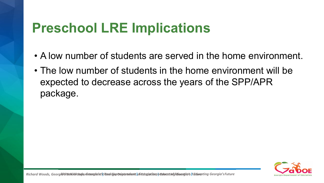### **Preschool LRE Implications**

- A low number of students are served in the home environment.
- The low number of students in the home environment will be expected to decrease across the years of the SPP/APR package.

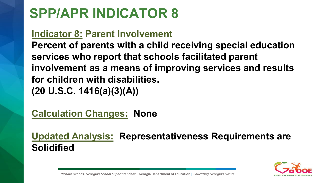### **Indicator 8: Parent Involvement**

**Percent of parents with a child receiving special education services who report that schools facilitated parent involvement as a means of improving services and results for children with disabilities. (20 U.S.C. 1416(a)(3)(A))** 

**Calculation Changes: None**

**Updated Analysis: Representativeness Requirements are Solidified**

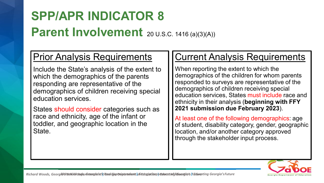### **SPP/APR INDICATOR 8 Parent Involvement** 20 U.S.C. 1416 (a)(3)(A))

### Prior Analysis Requirements

Include the State's analysis of the extent to which the demographics of the parents responding are representative of the demographics of children receiving special education services.

States should consider categories such as race and ethnicity, age of the infant or toddler, and geographic location in the State.

#### Current Analysis Requirements

When reporting the extent to which the demographics of the children for whom parents responded to surveys are representative of the demographics of children receiving special education services, States must include race and ethnicity in their analysis (**beginning with FFY 2021 submission due February 2023**).

At least one of the following demographics: age of student, disability category, gender, geographic location, and/or another category approved through the stakeholder input process.

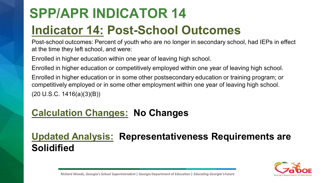### **SPP/APR INDICATOR 14 Indicator 14: Post-School Outcomes**

Post-school outcomes: Percent of youth who are no longer in secondary school, had IEPs in effect at the time they left school, and were:

Enrolled in higher education within one year of leaving high school.

Enrolled in higher education or competitively employed within one year of leaving high school.

Enrolled in higher education or in some other postsecondary education or training program; or competitively employed or in some other employment within one year of leaving high school. (20 U.S.C. 1416(a)(3)(B))

### **Calculation Changes: No Changes**

### **Updated Analysis: Representativeness Requirements are Solidified**

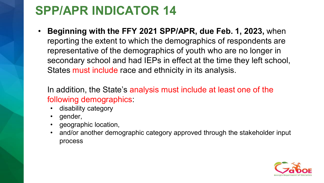• **Beginning with the FFY 2021 SPP/APR, due Feb. 1, 2023,** when reporting the extent to which the demographics of respondents are representative of the demographics of youth who are no longer in secondary school and had IEPs in effect at the time they left school, States must include race and ethnicity in its analysis.

In addition, the State's analysis must include at least one of the following demographics:

- disability category
- gender,
- geographic location,
- and/or another demographic category approved through the stakeholder input process

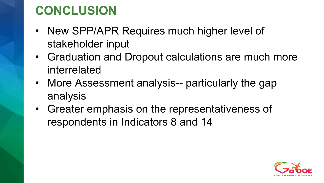### **CONCLUSION**

- New SPP/APR Requires much higher level of stakeholder input
- Graduation and Dropout calculations are much more interrelated
- More Assessment analysis-- particularly the gap analysis
- Greater emphasis on the representativeness of respondents in Indicators 8 and 14